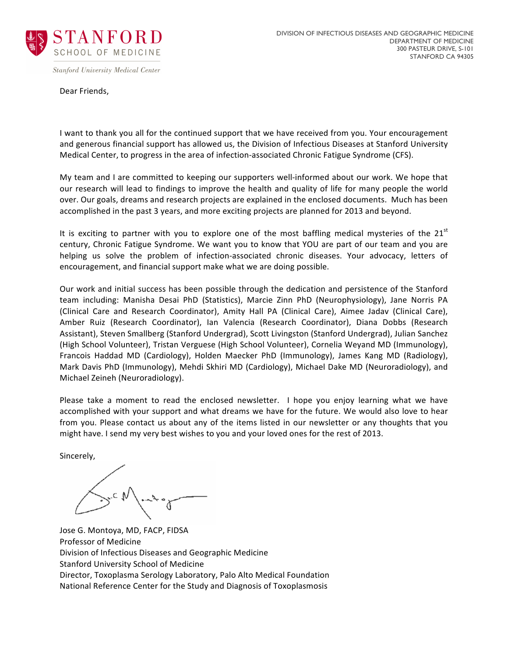

**Stanford University Medical Center** 

Dear Friends,

I want to thank you all for the continued support that we have received from you. Your encouragement and generous financial support has allowed us, the Division of Infectious Diseases at Stanford University Medical Center, to progress in the area of infection-associated Chronic Fatigue Syndrome (CFS).

My team and I are committed to keeping our supporters well-informed about our work. We hope that our research will lead to findings to improve the health and quality of life for many people the world over. Our goals, dreams and research projects are explained in the enclosed documents. Much has been accomplished in the past 3 years, and more exciting projects are planned for 2013 and beyond.

It is exciting to partner with you to explore one of the most baffling medical mysteries of the  $21<sup>st</sup>$ century, Chronic Fatigue Syndrome. We want you to know that YOU are part of our team and you are helping us solve the problem of infection-associated chronic diseases. Your advocacy, letters of encouragement, and financial support make what we are doing possible.

Our work and initial success has been possible through the dedication and persistence of the Stanford team including: Manisha Desai PhD (Statistics), Marcie Zinn PhD (Neurophysiology), Jane Norris PA (Clinical Care and Research Coordinator), Amity Hall PA (Clinical Care), Aimee Jadav (Clinical Care), Amber Ruiz (Research Coordinator), Ian Valencia (Research Coordinator), Diana Dobbs (Research Assistant), Steven Smallberg (Stanford Undergrad), Scott Livingston (Stanford Undergrad), Julian Sanchez (High School Volunteer), Tristan Verguese (High School Volunteer), Cornelia Weyand MD (Immunology), Francois Haddad MD (Cardiology), Holden Maecker PhD (Immunology), James Kang MD (Radiology), Mark Davis PhD (Immunology), Mehdi Skhiri MD (Cardiology), Michael Dake MD (Neuroradiology), and Michael Zeineh (Neuroradiology).

Please take a moment to read the enclosed newsletter. I hope you enjoy learning what we have accomplished with your support and what dreams we have for the future. We would also love to hear from you. Please contact us about any of the items listed in our newsletter or any thoughts that you might have. I send my very best wishes to you and your loved ones for the rest of 2013.

Sincerely,

Jose G. Montoya, MD, FACP, FIDSA Professor of Medicine Division of Infectious Diseases and Geographic Medicine Stanford University School of Medicine Director, Toxoplasma Serology Laboratory, Palo Alto Medical Foundation National Reference Center for the Study and Diagnosis of Toxoplasmosis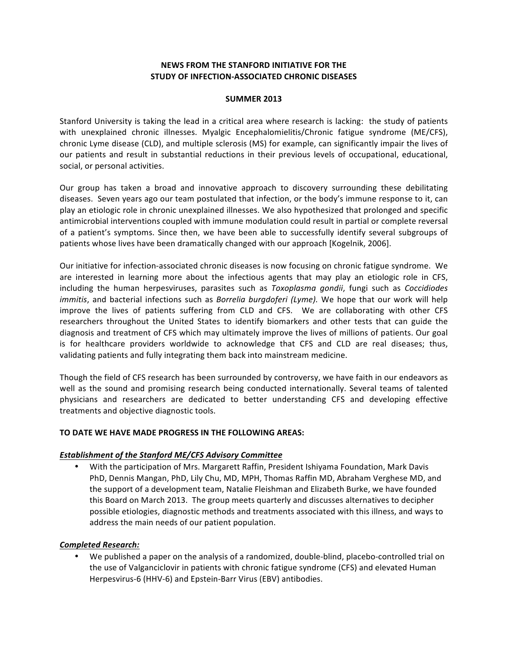## **NEWS FROM THE STANFORD INITIATIVE FOR THE STUDY OF INFECTION-ASSOCIATED CHRONIC DISEASES**

#### **SUMMER 2013**

Stanford University is taking the lead in a critical area where research is lacking: the study of patients with unexplained chronic illnesses. Myalgic Encephalomielitis/Chronic fatigue syndrome (ME/CFS), chronic Lyme disease (CLD), and multiple sclerosis (MS) for example, can significantly impair the lives of our patients and result in substantial reductions in their previous levels of occupational, educational, social, or personal activities.

Our group has taken a broad and innovative approach to discovery surrounding these debilitating diseases. Seven years ago our team postulated that infection, or the body's immune response to it, can play an etiologic role in chronic unexplained illnesses. We also hypothesized that prolonged and specific antimicrobial interventions coupled with immune modulation could result in partial or complete reversal of a patient's symptoms. Since then, we have been able to successfully identify several subgroups of patients whose lives have been dramatically changed with our approach [Kogelnik, 2006].

Our initiative for infection-associated chronic diseases is now focusing on chronic fatigue syndrome. We are interested in learning more about the infectious agents that may play an etiologic role in CFS, including the human herpesviruses, parasites such as *Toxoplasma qondii*, fungi such as *Coccidiodes immitis*, and bacterial infections such as *Borrelia burgdoferi (Lyme)*. We hope that our work will help improve the lives of patients suffering from CLD and CFS. We are collaborating with other CFS researchers throughout the United States to identify biomarkers and other tests that can guide the diagnosis and treatment of CFS which may ultimately improve the lives of millions of patients. Our goal is for healthcare providers worldwide to acknowledge that CFS and CLD are real diseases; thus, validating patients and fully integrating them back into mainstream medicine.

Though the field of CFS research has been surrounded by controversy, we have faith in our endeavors as well as the sound and promising research being conducted internationally. Several teams of talented physicians and researchers are dedicated to better understanding CFS and developing effective treatments and objective diagnostic tools.

#### **TO DATE WE HAVE MADE PROGRESS IN THE FOLLOWING AREAS:**

#### **Establishment of the Stanford ME/CFS Advisory Committee**

• With the participation of Mrs. Margarett Raffin, President Ishiyama Foundation, Mark Davis PhD, Dennis Mangan, PhD, Lily Chu, MD, MPH, Thomas Raffin MD, Abraham Verghese MD, and the support of a development team, Natalie Fleishman and Elizabeth Burke, we have founded this Board on March 2013. The group meets quarterly and discusses alternatives to decipher possible etiologies, diagnostic methods and treatments associated with this illness, and ways to address the main needs of our patient population.

### *Completed Research:*

We published a paper on the analysis of a randomized, double-blind, placebo-controlled trial on the use of Valganciclovir in patients with chronic fatigue syndrome (CFS) and elevated Human Herpesvirus-6 (HHV-6) and Epstein-Barr Virus (EBV) antibodies.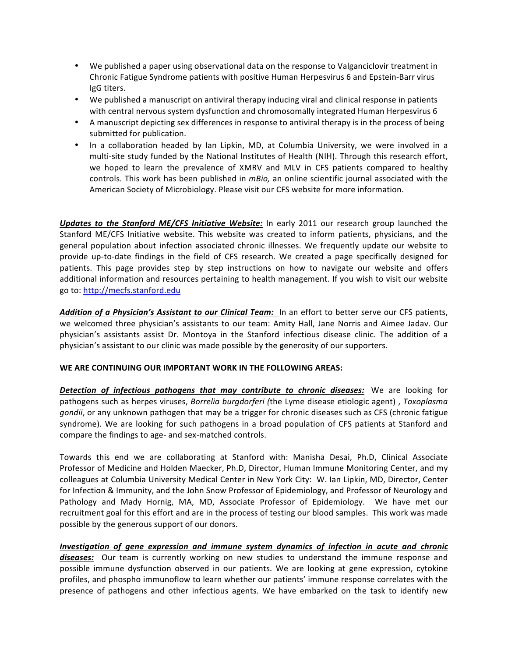- We published a paper using observational data on the response to Valganciclovir treatment in Chronic Fatigue Syndrome patients with positive Human Herpesvirus 6 and Epstein-Barr virus IgG titers.
- We published a manuscript on antiviral therapy inducing viral and clinical response in patients with central nervous system dysfunction and chromosomally integrated Human Herpesvirus 6
- A manuscript depicting sex differences in response to antiviral therapy is in the process of being submitted for publication.
- In a collaboration headed by Ian Lipkin, MD, at Columbia University, we were involved in a multi-site study funded by the National Institutes of Health (NIH). Through this research effort, we hoped to learn the prevalence of XMRV and MLV in CFS patients compared to healthy controls. This work has been published in *mBio*, an online scientific journal associated with the American Society of Microbiology. Please visit our CFS website for more information.

**Updates to the Stanford ME/CFS Initiative Website:** In early 2011 our research group launched the Stanford ME/CFS Initiative website. This website was created to inform patients, physicians, and the general population about infection associated chronic illnesses. We frequently update our website to provide up-to-date findings in the field of CFS research. We created a page specifically designed for patients. This page provides step by step instructions on how to navigate our website and offers additional information and resources pertaining to health management. If you wish to visit our website go to: http://mecfs.stanford.edu

Addition of a Physician's Assistant to our Clinical Team: In an effort to better serve our CFS patients, we welcomed three physician's assistants to our team: Amity Hall, Jane Norris and Aimee Jadav. Our physician's assistants assist Dr. Montoya in the Stanford infectious disease clinic. The addition of a physician's assistant to our clinic was made possible by the generosity of our supporters.

### WE ARE CONTINUING OUR IMPORTANT WORK IN THE FOLLOWING AREAS:

**Detection** of infectious pathogens that may contribute to chronic diseases: We are looking for pathogens such as herpes viruses, *Borrelia burgdorferi* (the Lyme disease etiologic agent) , *Toxoplasma gondii*, or any unknown pathogen that may be a trigger for chronic diseases such as CFS (chronic fatigue syndrome). We are looking for such pathogens in a broad population of CFS patients at Stanford and compare the findings to age- and sex-matched controls.

Towards this end we are collaborating at Stanford with: Manisha Desai, Ph.D, Clinical Associate Professor of Medicine and Holden Maecker, Ph.D, Director, Human Immune Monitoring Center, and my colleagues at Columbia University Medical Center in New York City: W. Ian Lipkin, MD, Director, Center for Infection & Immunity, and the John Snow Professor of Epidemiology, and Professor of Neurology and Pathology and Mady Hornig, MA, MD, Associate Professor of Epidemiology. We have met our recruitment goal for this effort and are in the process of testing our blood samples. This work was made possible by the generous support of our donors.

*Investigation of gene expression and immune system dynamics of infection in acute and chronic* **diseases:** Our team is currently working on new studies to understand the immune response and possible immune dysfunction observed in our patients. We are looking at gene expression, cytokine profiles, and phospho immunoflow to learn whether our patients' immune response correlates with the presence of pathogens and other infectious agents. We have embarked on the task to identify new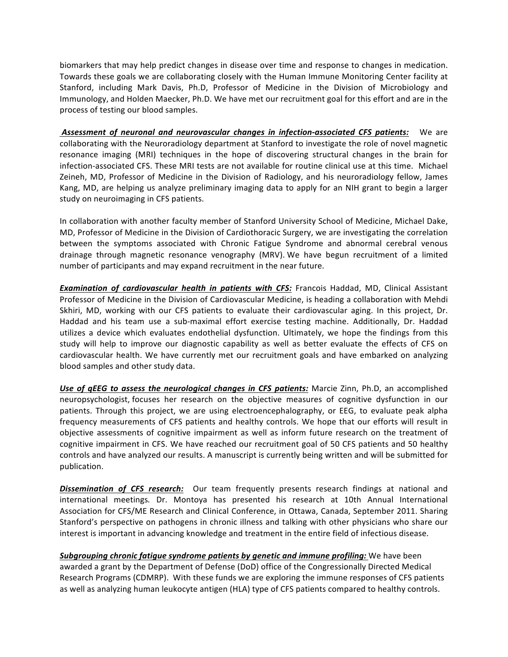biomarkers that may help predict changes in disease over time and response to changes in medication. Towards these goals we are collaborating closely with the Human Immune Monitoring Center facility at Stanford, including Mark Davis, Ph.D, Professor of Medicine in the Division of Microbiology and Immunology, and Holden Maecker, Ph.D. We have met our recruitment goal for this effort and are in the process of testing our blood samples.

**Assessment of neuronal and neurovascular changes in infection-associated CFS patients:** We are collaborating with the Neuroradiology department at Stanford to investigate the role of novel magnetic resonance imaging (MRI) techniques in the hope of discovering structural changes in the brain for infection-associated CFS. These MRI tests are not available for routine clinical use at this time. Michael Zeineh, MD, Professor of Medicine in the Division of Radiology, and his neuroradiology fellow, James Kang, MD, are helping us analyze preliminary imaging data to apply for an NIH grant to begin a larger study on neuroimaging in CFS patients.

In collaboration with another faculty member of Stanford University School of Medicine, Michael Dake, MD, Professor of Medicine in the Division of Cardiothoracic Surgery, we are investigating the correlation between the symptoms associated with Chronic Fatigue Syndrome and abnormal cerebral venous drainage through magnetic resonance venography (MRV). We have begun recruitment of a limited number of participants and may expand recruitment in the near future.

*Examination of cardiovascular health in patients with CFS: Francois Haddad, MD, Clinical Assistant* Professor of Medicine in the Division of Cardiovascular Medicine, is heading a collaboration with Mehdi Skhiri, MD, working with our CFS patients to evaluate their cardiovascular aging. In this project, Dr. Haddad and his team use a sub-maximal effort exercise testing machine. Additionally, Dr. Haddad utilizes a device which evaluates endothelial dysfunction. Ultimately, we hope the findings from this study will help to improve our diagnostic capability as well as better evaluate the effects of CFS on cardiovascular health. We have currently met our recruitment goals and have embarked on analyzing blood samples and other study data.

Use of *qEEG* to assess the neurological changes in CFS patients: Marcie Zinn, Ph.D, an accomplished neuropsychologist, focuses her research on the objective measures of cognitive dysfunction in our patients. Through this project, we are using electroencephalography, or EEG, to evaluate peak alpha frequency measurements of CFS patients and healthy controls. We hope that our efforts will result in objective assessments of cognitive impairment as well as inform future research on the treatment of cognitive impairment in CFS. We have reached our recruitment goal of 50 CFS patients and 50 healthy controls and have analyzed our results. A manuscript is currently being written and will be submitted for publication.

**Dissemination of CFS research:** Our team frequently presents research findings at national and international meetings. Dr. Montoya has presented his research at 10th Annual International Association for CFS/ME Research and Clinical Conference, in Ottawa, Canada, September 2011. Sharing Stanford's perspective on pathogens in chronic illness and talking with other physicians who share our interest is important in advancing knowledge and treatment in the entire field of infectious disease.

**Subgrouping chronic fatigue syndrome patients by genetic and immune profiling:** We have been awarded a grant by the Department of Defense (DoD) office of the Congressionally Directed Medical Research Programs (CDMRP). With these funds we are exploring the immune responses of CFS patients as well as analyzing human leukocyte antigen (HLA) type of CFS patients compared to healthy controls.